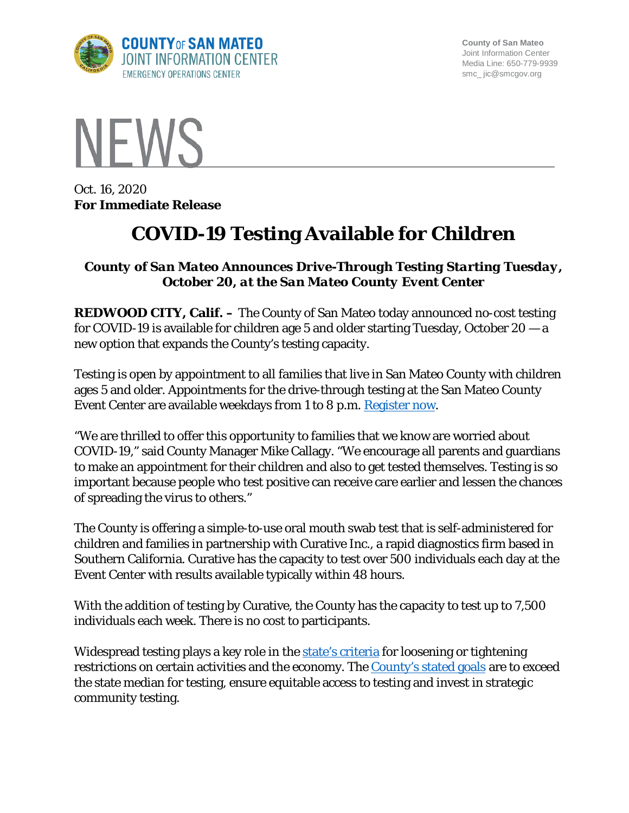

**County of San Mateo** Joint Information Center Media Line: 650-779-9939 smc\_ jic@smcgov.org



Oct. 16, 2020 **For Immediate Release**

## **COVID-19 Testing Available for Children**

## *County of San Mateo Announces Drive-Through Testing Starting Tuesday, October 20, at the San Mateo County Event Center*

**REDWOOD CITY, Calif. –** The County of San Mateo today announced no-cost testing for COVID-19 is available for children age 5 and older starting Tuesday, October  $20 - a$ new option that expands the County's testing capacity.

Testing is open by appointment to all families that live in San Mateo County with children ages 5 and older. Appointments for the drive-through testing at the San Mateo County Event Center are available weekdays from 1 to 8 p.m. [Register now.](https://curative.com/sites/8893?date=2020-10-20#9.15/37.4952/-122.3895)

"We are thrilled to offer this opportunity to families that we know are worried about COVID-19," said County Manager Mike Callagy. "We encourage all parents and guardians to make an appointment for their children and also to get tested themselves. Testing is so important because people who test positive can receive care earlier and lessen the chances of spreading the virus to others."

The County is offering a simple-to-use oral mouth swab test that is self-administered for children and families in partnership with Curative Inc., a rapid diagnostics firm based in Southern California. Curative has the capacity to test over 500 individuals each day at the Event Center with results available typically within 48 hours.

With the addition of testing by Curative, the County has the capacity to test up to 7,500 individuals each week. There is no cost to participants.

Widespread testing plays a key role in the [state's criteria](https://covid19.ca.gov/safer-economy/) for loosening or tightening restrictions on certain activities and the economy. The [County's stated goals](https://www.smcgov.org/testing-strategy-covid-19) are to exceed the state median for testing, ensure equitable access to testing and invest in strategic community testing.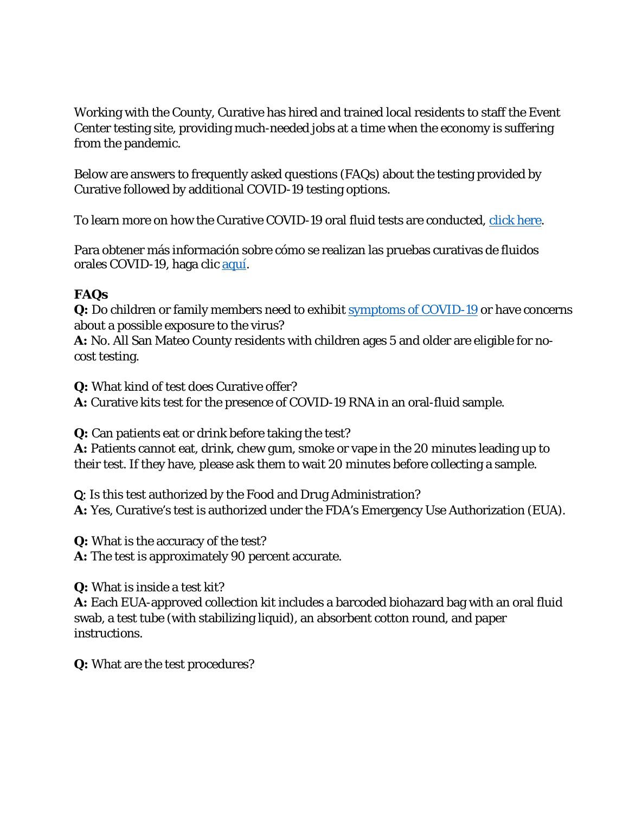Working with the County, Curative has hired and trained local residents to staff the Event Center testing site, providing much-needed jobs at a time when the economy is suffering from the pandemic.

Below are answers to frequently asked questions (FAQs) about the testing provided by Curative followed by additional COVID-19 testing options.

To learn more on how the Curative COVID-19 oral fluid tests are conducted, [click here.](https://youtu.be/msQN2rxQU0c)

Para obtener más información sobre cómo se realizan las pruebas curativas de fluidos orales COVID-19, haga clic [aquí.](https://protect-us.mimecast.com/s/ttkGCR6KPYcN6rVpC9M-IP)

## **FAQs**

**Q:** Do children or family members need to exhibit [symptoms of COVID-19](https://www.cdc.gov/coronavirus/2019-ncov/symptoms-testing/symptoms.html) or have concerns about a possible exposure to the virus?

**A:** No. All San Mateo County residents with children ages 5 and older are eligible for nocost testing.

**Q:** What kind of test does Curative offer?

**A:** Curative kits test for the presence of COVID-19 RNA in an oral-fluid sample.

**Q:** Can patients eat or drink before taking the test?

**A:** Patients cannot eat, drink, chew gum, smoke or vape in the 20 minutes leading up to their test. If they have, please ask them to wait 20 minutes before collecting a sample.

Q: Is this test authorized by the Food and Drug Administration? **A:** Yes, Curative's test is authorized under the FDA's Emergency Use Authorization (EUA).

**Q:** What is the accuracy of the test?

**A:** The test is approximately 90 percent accurate.

**Q:** What is inside a test kit?

**A:** Each EUA-approved collection kit includes a barcoded biohazard bag with an oral fluid swab, a test tube (with stabilizing liquid), an absorbent cotton round, and paper instructions.

**Q:** What are the test procedures?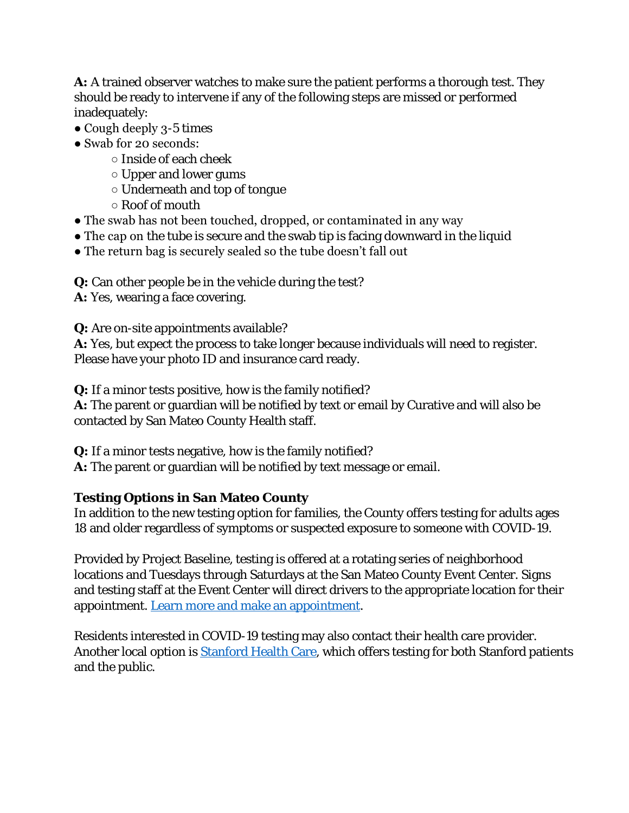**A:** A trained observer watches to make sure the patient performs a thorough test. They should be ready to intervene if any of the following steps are missed or performed inadequately:

- Cough deeply 3-5 times
- Swab for 20 seconds:
	- Inside of each cheek
	- Upper and lower gums
	- Underneath and top of tongue
	- Roof of mouth
- The swab has not been touched, dropped, or contaminated in any way
- The cap on the tube is secure and the swab tip is facing downward in the liquid
- The return bag is securely sealed so the tube doesn't fall out

**Q:** Can other people be in the vehicle during the test?

**A:** Yes, wearing a face covering.

**Q:** Are on-site appointments available?

**A:** Yes, but expect the process to take longer because individuals will need to register. Please have your photo ID and insurance card ready.

**Q:** If a minor tests positive, how is the family notified?

**A:** The parent or guardian will be notified by text or email by Curative and will also be contacted by San Mateo County Health staff.

**Q:** If a minor tests negative, how is the family notified?

**A:** The parent or guardian will be notified by text message or email.

## **Testing Options in San Mateo County**

In addition to the new testing option for families, the County offers testing for adults ages 18 and older regardless of symptoms or suspected exposure to someone with COVID-19.

Provided by Project Baseline, testing is offered at a rotating series of neighborhood locations and Tuesdays through Saturdays at the San Mateo County Event Center. Signs and testing staff at the Event Center will direct drivers to the appropriate location for their appointment. [Learn more and make an appointment.](https://bit.ly/2xk73OL)

Residents interested in COVID-19 testing may also contact their health care provider. Another local option is [Stanford Health Care,](http://stanfordhealthcare.org/discover/covid-19-resource-center/health-care-professionals/first-responders-essential-workers-resources-testing.html) which offers testing for both Stanford patients and the public.